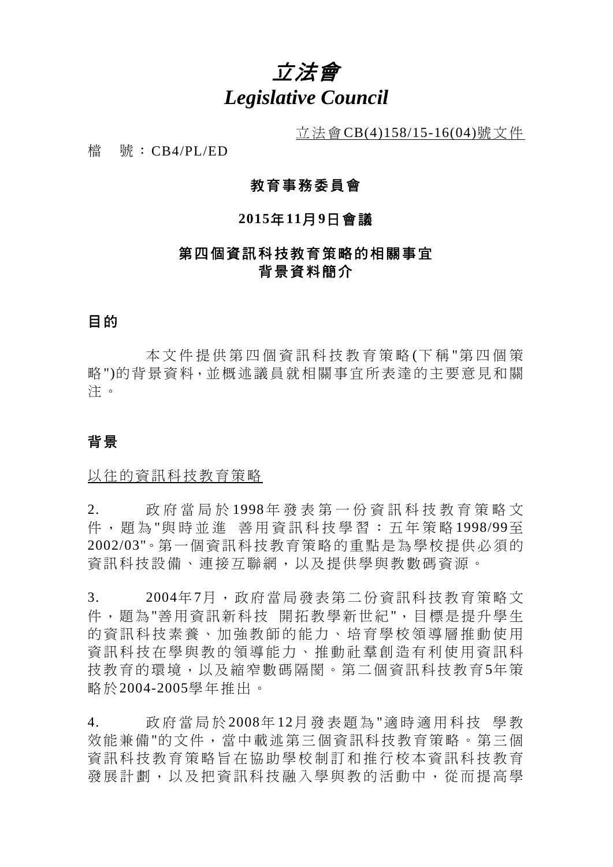# 立法會 *Legislative Council*

立法會CB(4)158/15-16(04)號文件

檔 號:CB4/PL/ED

#### 教育事務委員會

#### **2015**年**11**月**9**日會議

### 第四個資訊科技教育策略的相關事宜 背景資料簡介

目的

 本文件提供第四個資訊科技教育策略 (下 稱 "第四個策 略")的背景資料,並概述議員就相關事宜所表達的主要意見和關 注。

#### 背景

以往的資訊科技教育策略

2. 政府當局於 1998 年發表第一份資訊科技教育策略文 件,題為 "與時並進 善用資訊科技學習: 五年策略 1998/99至 2002/03"。第一個資訊科技教育策略的重點是為學校提供必須的 資訊科技設備、連接互聯網,以及提供學與教數碼資源。

3. 2004年7月,政府當局發表第二份資訊科技教育策略文 件,題為"善用資訊新科技 開拓教學新世紀",目標是提升學生 的資訊科技素養、加強教師的能力、培育學校領導層推動使用 資訊科技在學與教的領導能力、推動社羣創造有利使用資訊科 技教育的環境,以及縮窄數碼隔閡。第二個資訊科技教育5年策 略於2004-2005學年推出。

4. 政府當局於 2008年 12月發表題為 "適時適用科技 學 教 效能兼備"的文件,當中載述第三個資訊科技教育策略。第三個 資訊科技教育策略旨在協助學校制訂和推行校本資訊科技教育 發展計劃,以及把資訊科技融入學與教的活動中,從而提高學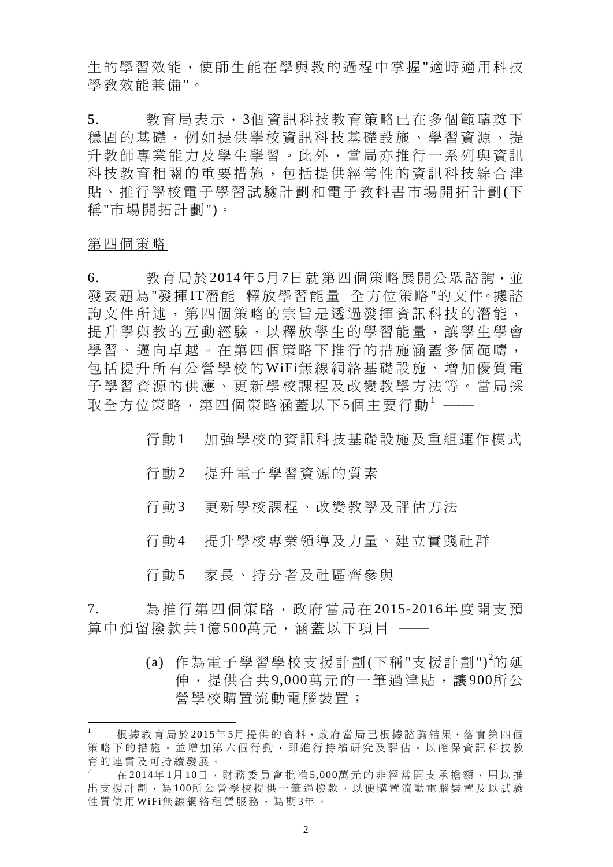生的學習效能,使師生能在學與教的過程中掌握"適時適用科技 學教效能兼備"。

5. 教育局表示,3個資訊科技教育策略已在多個範疇奠下 穩固的基礎,例如提供學校資訊科技基礎設施、學習資源、提 升教師專業能力及學生學習。此外,當局亦推行一系列與資訊 科技教育相關的重要措施,包括提供經常性的資訊科技綜合津 貼、推行學校電子學習試驗計劃和電子教科書市場開拓計劃(下 稱"市場開拓計劃")。

第四個策略

1

6. 教育局於2014年5月7日就第四個策略展開公眾諮詢,並 發表題為"發揮IT潛能 釋放學習能量 全方位策略"的文件。據諮 詢文件所述,第四個策略的宗旨是透過發揮資訊科技的潛能, 提升學與教的互動經驗,以釋放學生的學習能量,讓學生學會 學習、邁向卓越。在第四個策略下推行的措施涵蓋多個範疇, 包括提升所有公營學校的 WiFi無線網絡基礎設施、增加優質電 子學習資源的供應、更新學校課程及改變教學方法等。當局採 取全方位策略,第四個策略涵蓋以下5個主要行動1–

- 行動1 加強學校的資訊科技基礎設施及重組運作模式
- 行動2 提升電子學習資源的質素
- 行動3 更新學校課程、改變教學及評估方法
- 行動4 提升學校專業領導及力量、建立實踐社群
- 行動5 家長、持分者及社區齊參與

7. 為推行第四個策略,政府當局在 2015-2016年度開支預 算中預留撥款共1億500萬元,涵蓋以下項目。

> (a) 作為電子學習學校支援計劃(下稱"支援計劃")<sup>2</sup>的延 伸,提供合共9,000萬元的一筆過津貼,讓900所公 營學校購置流動電腦裝置;

<sup>1</sup> 根據教育局於 2015年 5月提供的資料,政府當局已根據諮詢結果,落實第四個 策略下的措施,並增加第六個行動,即進行持續研究及評估,以確保資訊科技教 育的連貫及可持續發展。

<sup>2</sup> 在 2014年 1月 10日,財務委員會批准 5,000萬元的非經常開支承擔額,用以推 出支援計劃,為 100所公營學校提供一筆過撥款,以便購置流動電腦裝置及以試驗 性質使用 WiFi無線網絡租賃服務,為期3年。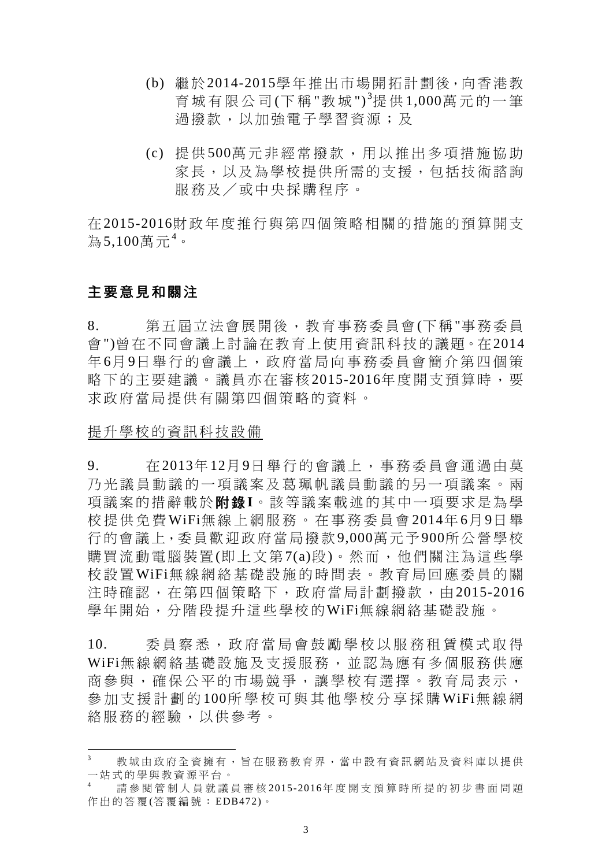- (b) 繼於2014-2015學年推出市場開拓計劃後,向香港教 育城有限公司(下稱"教城")<sup>3</sup>提供1,000萬元的一筆 過撥款,以加強電子學習資源;及
- (c) 提 供 500萬元非經常撥款,用以推出多項措施協助 家長,以及為學校提供所需的支援,包括技術諮詢 服務及/或中央採購程序。

在2015-2016財政年度推行與第四個策略相關的措施的預算開支 為5,100萬元 $^4$ 。

#### 主要意見和關注

1

8. 第五屆立法會展開後,教育事務委員會(下稱"事務委員 會")曾在不同會議上討論在教育上使用資訊科技的議題。在2014 年 6月 9日舉行的會議上,政府當局向事務委員會簡介第四個策 略下的主要建議。議員亦在審核2015-2016年度開支預算時,要 求政府當局提供有關第四個策略的資料。

提升學校的資訊科技設備

9. 在2013年12月9日舉行的會議上,事務委員會通過由莫 乃光議員動議的一項議案及葛珮帆議員動議的另一項議案。兩 項議案的措辭載於附錄**I**。該等議案載述的其中一項要求是為學 校提供免費 WiFi無線上網服務。在事務委員會 2014年 6月 9日 舉 行的會議上,委員歡迎政府當局撥款9,000萬元予900所公營學校 購買流動電腦裝置(即上文第7(a)段)。然而, 他們關注為這些學 校設置 WiFi無線網絡基礎設施的時間表。教育局回應委員的關 注時確認,在第四個策略下,政府當局計劃撥款,由2015-2016 學年開始,分階段提升這些學校的WiFi無線網絡基礎設施。

10. 委員察悉,政府當局會鼓勵學校以服務租賃模式取得 WiFi無線網絡基礎設施及支援服務, 並認為應有多個服務供應 商參與,確保公平的市場競爭,讓學校有選擇。教育局表示, 參加支援計劃的 100所學校可與其他學校分享採購 WiFi無線網 絡服務的經驗,以供參考。

教城由政府全資擁有,旨在服務教育界,當中設有資訊網站及資料庫以提供 一站式的學與教資源平台。

<sup>4</sup> 請參閱管制人員就議員審核 2015-2016年度開支預算時所提的初步書面問題 作出的答覆 (答覆編號: EDB472)。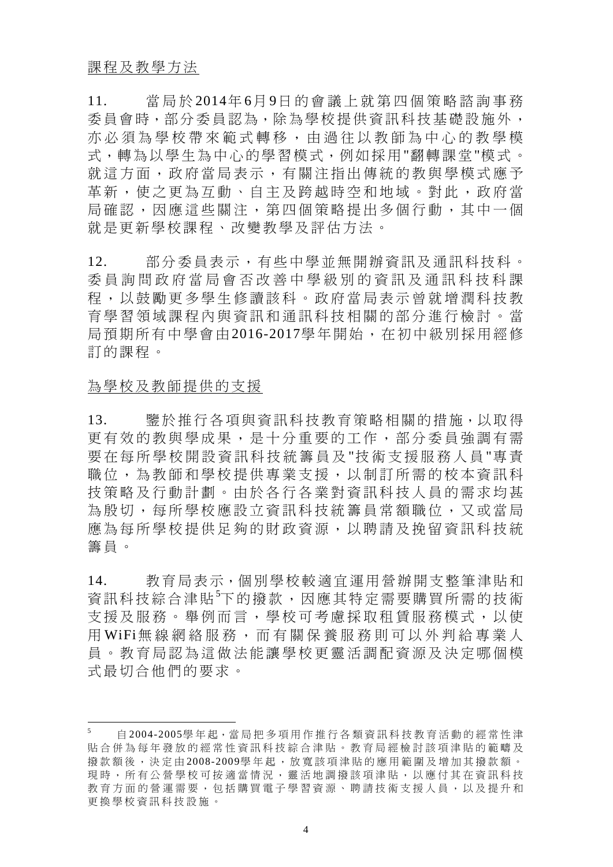11. 當局於 2014年 6月 9日的會議上就第四個策略諮詢事務 委員會時,部分委員認為,除為學校提供資訊科技基礎設施外, 亦必須為學校帶來範式轉移,由過往以教師為中心的教學模 式,轉為以學生為中心的學習模式,例如採用"翻轉課堂"模式。 就這方面,政府當局表示,有關注指出傳統的教與學模式應予 革新,使之更為互動、自主及跨越時空和地域。對此,政府當 局確認,因應這些關注,第四個策略提出多個行動,其中一個 就是更新學校課程、改變教學及評估方法。

12. 部分委員表示,有些中學並無開辦資訊及通訊科技科。 委員詢問政府當局會否改善中學級別的資訊及通訊科技科課 程,以鼓勵更多學生修讀該科。政府當局表示曾就增潤科技教 育學習領域課程內與資訊和通訊科技相關的部分進行檢討。當 局預期所有中學會由2016-2017學年開始,在初中級別採用經修 訂的課程。

#### 為學校及教師提供的支援

1

13. 鑒於推行各項與資訊科技教育策略相關的措施,以取得 更有效的教與學成果,是十分重要的工作,部分委員強調有需 要在每所學校開設資訊科技統籌員及 "技術支援服務人員 "專 責 職位,為教師和學校提供專業支援,以制訂所需的校本資訊科 技策略及行動計劃。由於各行各業對資訊科技人員的需求均甚 為殷切,每所學校應設立資訊科技統籌員常額職位,又或當局 應為每所學校提供足夠的財政資源,以聘請及挽留資訊科技統 籌員。

14. 教育局表示,個別學校較適宜運用營辦開支整筆津貼和 資訊科技綜合津貼5下的撥款,因應其特定需要購買所需的技術 支援及服務。舉例而言,學校可考慮採取租賃服務模式,以使 用 WiFi無線網絡服務,而有關保養服務則可以外判給專業人 員。教育局認為這做法能讓學校更靈活調配資源及決定哪個模 式最切合他們的要求。

自 2004-2005學年起,當 局 把 多 項 用 作 推 行 各 類 資 訊 科 技 教 育 活 動 的 經 常 性 津 貼合併為每年發放的經常性資訊科技綜合津貼。教育局經檢討該項津貼的範疇及 撥款額後,決定由2008-2009學年起,放寬該項津貼的應用範圍及增加其撥款額。 現時,所有公營學校可按適當情況,靈活地調撥該項津貼,以應付其在資訊科技 教育方面的營運需要,包括購買電子學習資源、聘請技術支援人員,以及提升和 更換學校資訊科技設施。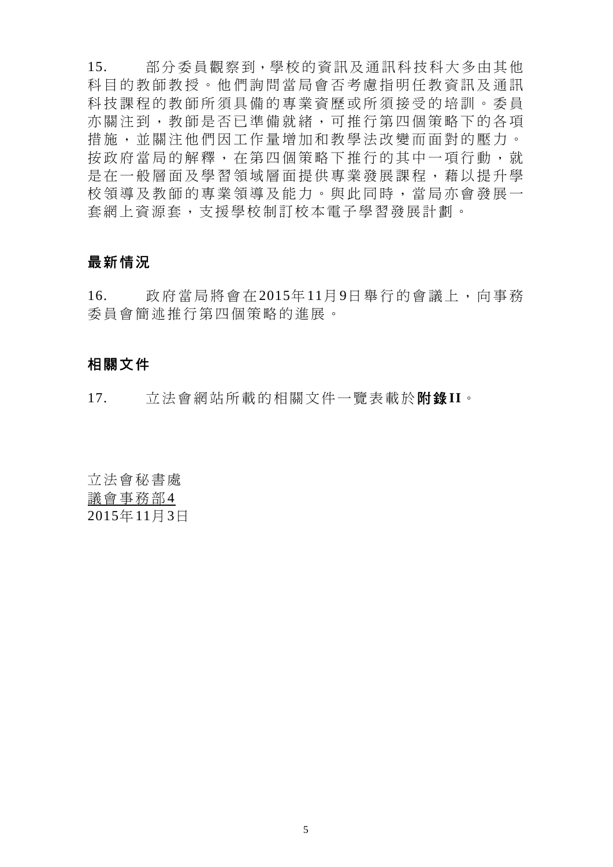15. 部分委員觀察到,學校的資訊及通訊科技科大多由其他 科目的教師教授。他們詢問當局會否考慮指明任教資訊及通訊 科技課程的教師所須具備的專業資歷或所須接受的培訓。委員 亦關注到,教師是否已準備就緒,可推行第四個策略下的各項 措施,並關注他們因工作量增加和教學法改變而面對的壓力。 按政府當局的解釋, 在第四個策略下推行的其中一項行動, 就 是在一般層面及學習領域層面提供專業發展課程,藉以提升學 校領導及教師的專業領導及能力。與此同時,當局亦會發展一 套網上資源套,支援學校制訂校本電子學習發展計劃。

#### 最新情況

16. 政府當局將會在2015年11月9日舉行的會議上,向事務 委員會簡述推行第四個策略的進展。

#### 相關文件

17. 立法會網站所載的相關文件一覽表載於附錄**II**。

立法會秘書處 議會事務部4 2015年11月3日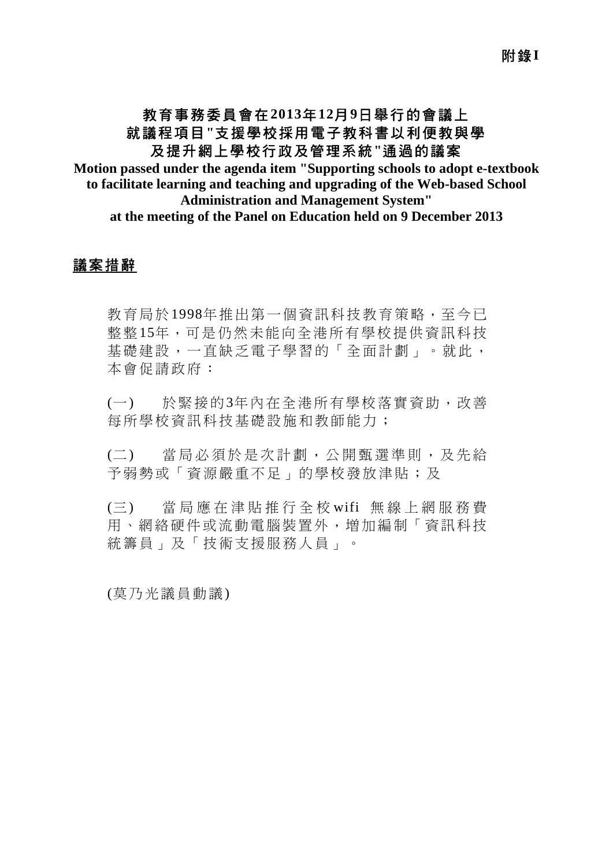### 教育事務委員會在**2013**年**12**月**9**日舉行的會議上 就議程項目**"**支援學校採用電子教科書以利便教與學 及提升網上學校行政及管理系統**"**通過的議案

**Motion passed under the agenda item "Supporting schools to adopt e-textbook to facilitate learning and teaching and upgrading of the Web-based School Administration and Management System" at the meeting of the Panel on Education held on 9 December 2013** 

### 議案措辭

教育局於1998年推出第一個資訊科技教育策略,至今已 整整15年,可是仍然未能向全港所有學校提供資訊科技 基礎建設,一直缺乏電子學習的「全面計劃」。就此, 本會促請政府:

(一) 於緊接的3年內在全港所有學校落實資助,改善 每所學校資訊科技基礎設施和教師能力;

(二) 當局必須於是次計劃,公開甄選準則,及先給 予弱勢或「資源嚴重不足」的學校發放津貼;及

(三) 當局應在津貼推行全校 wifi 無線上網服務費 用、網絡硬件或流動電腦裝置外,増加編制「資訊科技 統籌員」及「技術支援服務人員」。

(莫乃光議員動議)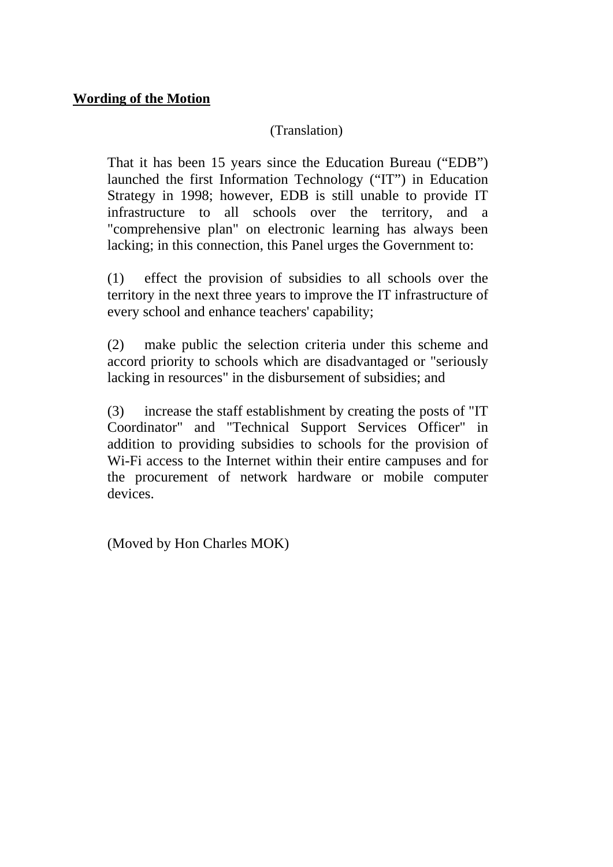### (Translation)

That it has been 15 years since the Education Bureau ("EDB") launched the first Information Technology ("IT") in Education Strategy in 1998; however, EDB is still unable to provide IT infrastructure to all schools over the territory, and a "comprehensive plan" on electronic learning has always been lacking; in this connection, this Panel urges the Government to:

(1) effect the provision of subsidies to all schools over the territory in the next three years to improve the IT infrastructure of every school and enhance teachers' capability;

(2) make public the selection criteria under this scheme and accord priority to schools which are disadvantaged or "seriously lacking in resources" in the disbursement of subsidies; and

(3) increase the staff establishment by creating the posts of "IT Coordinator" and "Technical Support Services Officer" in addition to providing subsidies to schools for the provision of Wi-Fi access to the Internet within their entire campuses and for the procurement of network hardware or mobile computer devices.

(Moved by Hon Charles MOK)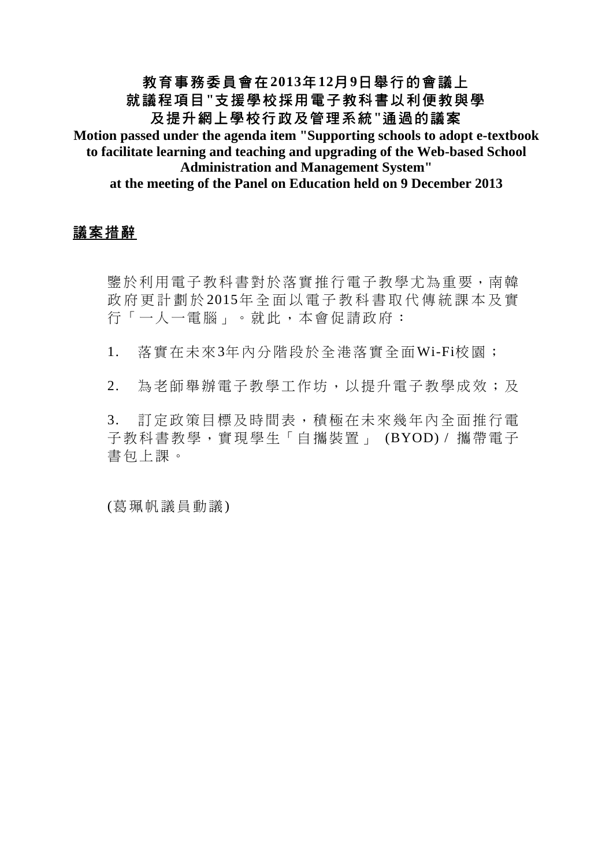### 教育事務委員會在**2013**年**12**月**9**日舉行的會議上 就議程項目**"**支援學校採用電子教科書以利便教與學 及提升網上學校行政及管理系統**"**通過的議案

**Motion passed under the agenda item "Supporting schools to adopt e-textbook to facilitate learning and teaching and upgrading of the Web-based School Administration and Management System" at the meeting of the Panel on Education held on 9 December 2013** 

### 議案措辭

鑒於利用電子教科書對於落實推行電子教學尤為重要,南韓 政府更計劃於 2015年全面以電子教科書取代傳統課本及實 行「一人一電腦」。就此,本會促請政府:

1. 落實在未來3年內分階段於全港落實全面Wi-Fi校園;

2. 為老師舉辦電子教學工作坊,以提升電子教學成效;及

3. 訂定政策目標及時間表,積極在未來幾年內全面推行電 子教科書教學,實現學生「自攜裝置」 (BYOD) / 攜帶電子 書包上課。

(葛珮帆議員動議)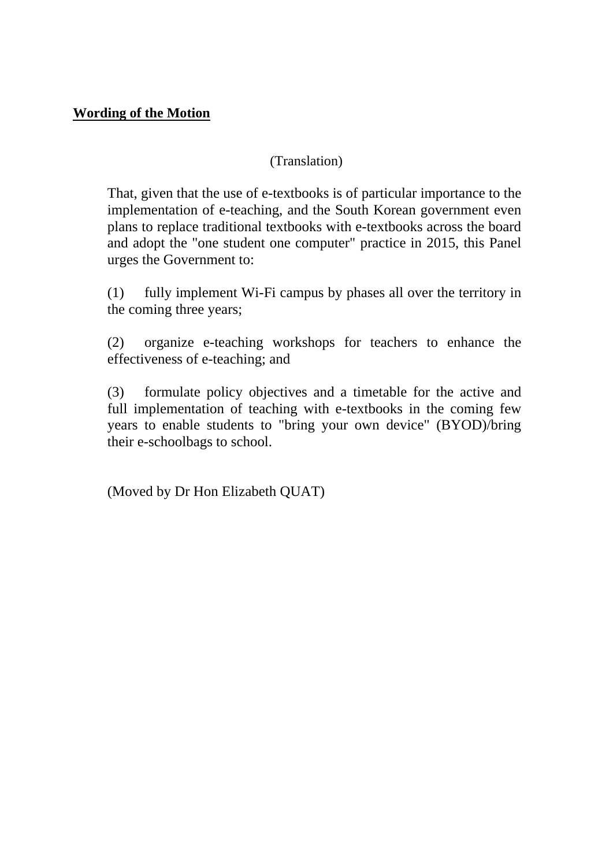### **Wording of the Motion**

### (Translation)

That, given that the use of e-textbooks is of particular importance to the implementation of e-teaching, and the South Korean government even plans to replace traditional textbooks with e-textbooks across the board and adopt the "one student one computer" practice in 2015, this Panel urges the Government to:

(1) fully implement Wi-Fi campus by phases all over the territory in the coming three years;

(2) organize e-teaching workshops for teachers to enhance the effectiveness of e-teaching; and

(3) formulate policy objectives and a timetable for the active and full implementation of teaching with e-textbooks in the coming few years to enable students to "bring your own device" (BYOD)/bring their e-schoolbags to school.

(Moved by Dr Hon Elizabeth QUAT)